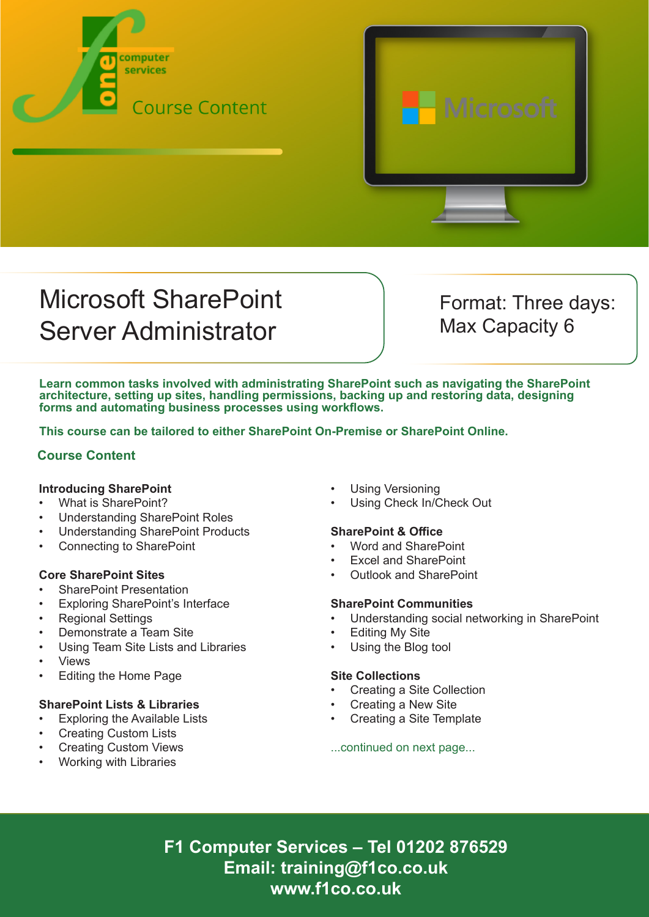



# Microsoft SharePoint Server Administrator

Format: Three days: Max Capacity 6

**Learn common tasks involved with administrating SharePoint such as navigating the SharePoint architecture, setting up sites, handling permissions, backing up and restoring data, designing forms and automating business processes using workflows.**

**This course can be tailored to either SharePoint On-Premise or SharePoint Online.**

# **Course Content**

### **Introducing SharePoint**

- What is SharePoint?
- Understanding SharePoint Roles
- Understanding SharePoint Products
- Connecting to SharePoint

### **Core SharePoint Sites**

- **SharePoint Presentation**
- Exploring SharePoint's Interface
- Regional Settings
- Demonstrate a Team Site
- Using Team Site Lists and Libraries
- Views
- Editing the Home Page

### **SharePoint Lists & Libraries**

- **Exploring the Available Lists**
- Creating Custom Lists
- Creating Custom Views
- Working with Libraries
- Using Versioning
- Using Check In/Check Out

### **SharePoint & Office**

- Word and SharePoint
- Excel and SharePoint
- Outlook and SharePoint

### **SharePoint Communities**

- Understanding social networking in SharePoint
- **Editing My Site**
- Using the Blog tool

### **Site Collections**

- Creating a Site Collection
- Creating a New Site
- Creating a Site Template

...continued on next page...

**F1 Computer Services – Tel 01202 876529 Email: training@f1co.co.uk www.f1co.co.uk**